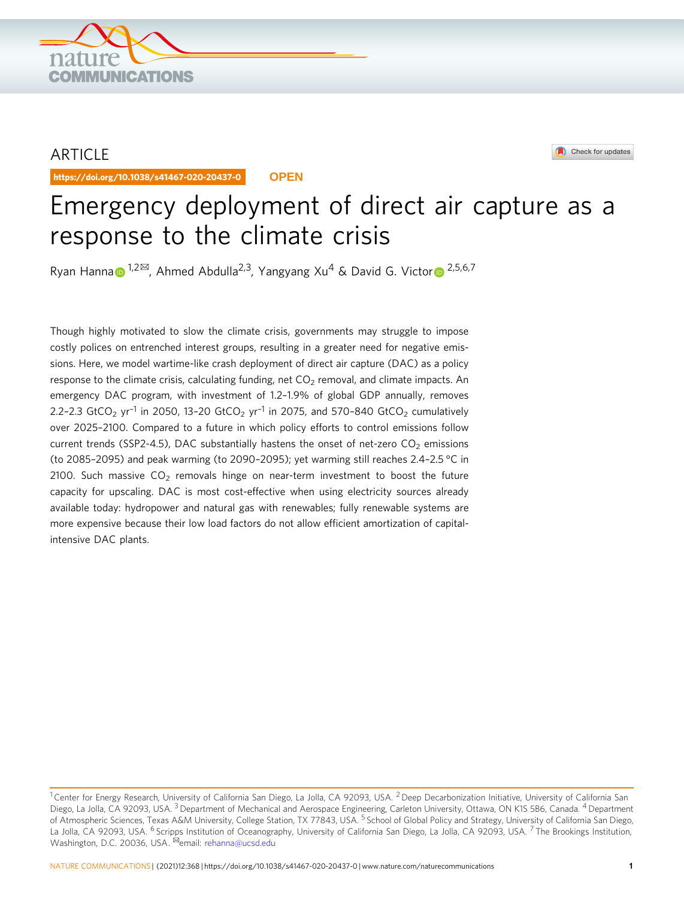# ARTICLE

https://doi.org/10.1038/s41467-020-20437-0 **OPEN**

**OMMUNICATIONS** 



# Emergency deployment of direct air capture as a response to the climate crisis

Ry[a](http://orcid.org/0000-0002-8120-8676)n Hanna  $1.2\%$  $1.2\%$  $1.2\%$  $1.2\%$ , Ahmed Abdulla<sup>2,3</sup>, Yangyang Xu<sup>4</sup> & David G. Victo[r](http://orcid.org/0000-0003-1136-0354) <sup>2,5,6,7</sup>

Though highly motivated to slow the climate crisis, governments may struggle to impose costly polices on entrenched interest groups, resulting in a greater need for negative emissions. Here, we model wartime-like crash deployment of direct air capture (DAC) as a policy response to the climate crisis, calculating funding, net  $CO<sub>2</sub>$  removal, and climate impacts. An emergency DAC program, with investment of 1.2–1.9% of global GDP annually, removes 2.2-2.3 GtCO<sub>2</sub> yr<sup>-1</sup> in 2050, 13-20 GtCO<sub>2</sub> yr<sup>-1</sup> in 2075, and 570-840 GtCO<sub>2</sub> cumulatively over 2025–2100. Compared to a future in which policy efforts to control emissions follow current trends (SSP2-4.5), DAC substantially hastens the onset of net-zero  $CO<sub>2</sub>$  emissions (to 2085–2095) and peak warming (to 2090–2095); yet warming still reaches 2.4–2.5 °C in 2100. Such massive  $CO<sub>2</sub>$  removals hinge on near-term investment to boost the future capacity for upscaling. DAC is most cost-effective when using electricity sources already available today: hydropower and natural gas with renewables; fully renewable systems are more expensive because their low load factors do not allow efficient amortization of capitalintensive DAC plants.

<sup>&</sup>lt;sup>1</sup> Center for Energy Research, University of California San Diego, La Jolla, CA 92093, USA. <sup>2</sup> Deep Decarbonization Initiative, University of California San Diego, La Jolla, CA 92093, USA. <sup>3</sup> Department of Mechanical and Aerospace Engineering, Carleton University, Ottawa, ON K1S 5B6, Canada. <sup>4</sup> Department of Atmospheric Sciences, Texas A&M University, College Station, TX 77843, USA. <sup>5</sup> School of Global Policy and Strategy, University of California San Diego, La Jolla, CA 92093, USA. <sup>6</sup> Scripps Institution of Oceanography, University of California San Diego, La Jolla, CA 92093, USA. <sup>7</sup> The Brookings Institution, Washington, D.C. 20036, USA. <sup>⊠</sup>email: [rehanna@ucsd.edu](mailto:rehanna@ucsd.edu)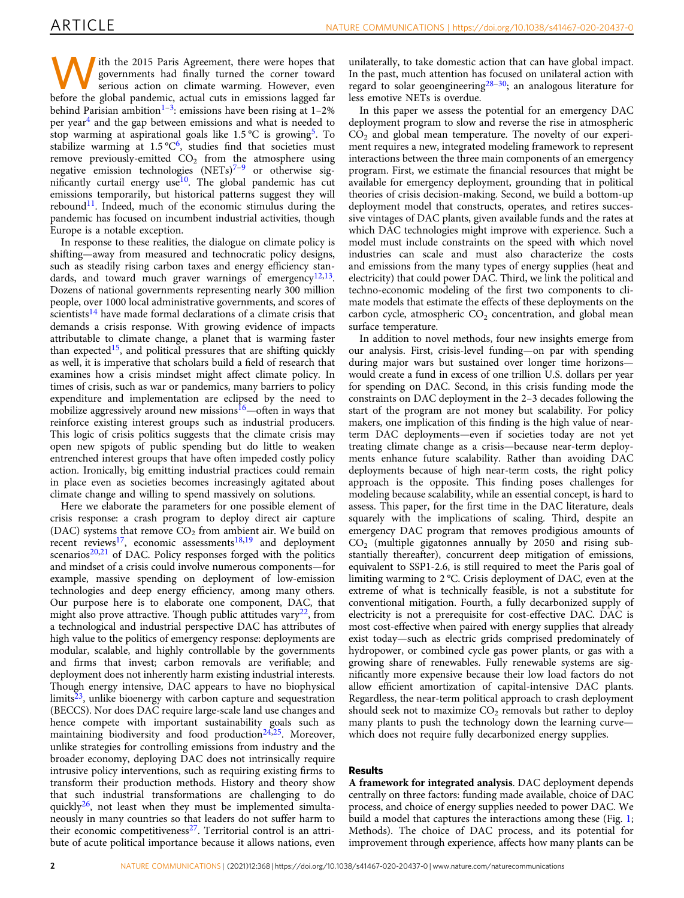ith the 2015 Paris Agreement, there were hopes that governments had finally turned the corner toward serious action on climate warming. However, even before the global pandemic, actual cuts in emissions lagged far behind Parisian ambition<sup>[1](#page-11-0)–[3](#page-11-0)</sup>: emissions have been rising at  $1-2\%$ per year[4](#page-11-0) and the gap between emissions and what is needed to stop warming at aspirational goals like  $1.5\,^{\circ}\text{C}$  is growing<sup>5</sup>. To stabilize warming at  $1.5\,^{\circ}\text{C}^6$ , studies find that societies must remove previously-emitted  $CO<sub>2</sub>$  from the atmosphere using negative emission technologies  $(NETs)^{7-9}$  $(NETs)^{7-9}$  $(NETs)^{7-9}$  $(NETs)^{7-9}$  $(NETs)^{7-9}$  or otherwise significantly curtail energy use<sup>10</sup>. The global pandemic has cut emissions temporarily, but historical patterns suggest they will rebound<sup>11</sup>. Indeed, much of the economic stimulus during the pandemic has focused on incumbent industrial activities, though Europe is a notable exception.

In response to these realities, the dialogue on climate policy is shifting—away from measured and technocratic policy designs, such as steadily rising carbon taxes and energy efficiency standards, and toward much graver warnings of emergency $12,13$ . Dozens of national governments representing nearly 300 million people, over 1000 local administrative governments, and scores of scientists $^{14}$  $^{14}$  $^{14}$  have made formal declarations of a climate crisis that demands a crisis response. With growing evidence of impacts attributable to climate change, a planet that is warming faster than expected<sup>[15](#page-11-0)</sup>, and political pressures that are shifting quickly as well, it is imperative that scholars build a field of research that examines how a crisis mindset might affect climate policy. In times of crisis, such as war or pandemics, many barriers to policy expenditure and implementation are eclipsed by the need to mobilize aggressively around new missions $16$ —often in ways that reinforce existing interest groups such as industrial producers. This logic of crisis politics suggests that the climate crisis may open new spigots of public spending but do little to weaken entrenched interest groups that have often impeded costly policy action. Ironically, big emitting industrial practices could remain in place even as societies becomes increasingly agitated about climate change and willing to spend massively on solutions.

Here we elaborate the parameters for one possible element of crisis response: a crash program to deploy direct air capture (DAC) systems that remove  $CO<sub>2</sub>$  from ambient air. We build on recent reviews<sup>[17](#page-12-0)</sup>, economic assessments<sup>18,19</sup> and deployment scenarios<sup>[20,21](#page-12-0)</sup> of DAC. Policy responses forged with the politics and mindset of a crisis could involve numerous components—for example, massive spending on deployment of low-emission technologies and deep energy efficiency, among many others. Our purpose here is to elaborate one component, DAC, that might also prove attractive. Though public attitudes vary<sup>[22](#page-12-0)</sup>, from a technological and industrial perspective DAC has attributes of high value to the politics of emergency response: deployments are modular, scalable, and highly controllable by the governments and firms that invest; carbon removals are verifiable; and deployment does not inherently harm existing industrial interests. Though energy intensive, DAC appears to have no biophysical  $\lim$ its<sup>[23](#page-12-0)</sup>, unlike bioenergy with carbon capture and sequestration (BECCS). Nor does DAC require large-scale land use changes and hence compete with important sustainability goals such as maintaining biodiversity and food production $24,25$  $24,25$  $24,25$ . Moreover, unlike strategies for controlling emissions from industry and the broader economy, deploying DAC does not intrinsically require intrusive policy interventions, such as requiring existing firms to transform their production methods. History and theory show that such industrial transformations are challenging to do quickly<sup>[26](#page-12-0)</sup>, not least when they must be implemented simultaneously in many countries so that leaders do not suffer harm to their economic competitiveness $27$ . Territorial control is an attribute of acute political importance because it allows nations, even

unilaterally, to take domestic action that can have global impact. In the past, much attention has focused on unilateral action with regard to solar geoengineering  $28-30$  $28-30$  $28-30$ ; an analogous literature for less emotive NETs is overdue.

In this paper we assess the potential for an emergency DAC deployment program to slow and reverse the rise in atmospheric  $CO<sub>2</sub>$  and global mean temperature. The novelty of our experiment requires a new, integrated modeling framework to represent interactions between the three main components of an emergency program. First, we estimate the financial resources that might be available for emergency deployment, grounding that in political theories of crisis decision-making. Second, we build a bottom-up deployment model that constructs, operates, and retires successive vintages of DAC plants, given available funds and the rates at which DAC technologies might improve with experience. Such a model must include constraints on the speed with which novel industries can scale and must also characterize the costs and emissions from the many types of energy supplies (heat and electricity) that could power DAC. Third, we link the political and techno-economic modeling of the first two components to climate models that estimate the effects of these deployments on the carbon cycle, atmospheric  $CO<sub>2</sub>$  concentration, and global mean surface temperature.

In addition to novel methods, four new insights emerge from our analysis. First, crisis-level funding—on par with spending during major wars but sustained over longer time horizons would create a fund in excess of one trillion U.S. dollars per year for spending on DAC. Second, in this crisis funding mode the constraints on DAC deployment in the 2–3 decades following the start of the program are not money but scalability. For policy makers, one implication of this finding is the high value of nearterm DAC deployments—even if societies today are not yet treating climate change as a crisis—because near-term deployments enhance future scalability. Rather than avoiding DAC deployments because of high near-term costs, the right policy approach is the opposite. This finding poses challenges for modeling because scalability, while an essential concept, is hard to assess. This paper, for the first time in the DAC literature, deals squarely with the implications of scaling. Third, despite an emergency DAC program that removes prodigious amounts of  $CO<sub>2</sub>$  (multiple gigatonnes annually by 2050 and rising substantially thereafter), concurrent deep mitigation of emissions, equivalent to SSP1-2.6, is still required to meet the Paris goal of limiting warming to 2 °C. Crisis deployment of DAC, even at the extreme of what is technically feasible, is not a substitute for conventional mitigation. Fourth, a fully decarbonized supply of electricity is not a prerequisite for cost-effective DAC. DAC is most cost-effective when paired with energy supplies that already exist today—such as electric grids comprised predominately of hydropower, or combined cycle gas power plants, or gas with a growing share of renewables. Fully renewable systems are significantly more expensive because their low load factors do not allow efficient amortization of capital-intensive DAC plants. Regardless, the near-term political approach to crash deployment should seek not to maximize  $CO<sub>2</sub>$  removals but rather to deploy many plants to push the technology down the learning curve which does not require fully decarbonized energy supplies.

## Results

A framework for integrated analysis. DAC deployment depends centrally on three factors: funding made available, choice of DAC process, and choice of energy supplies needed to power DAC. We build a model that captures the interactions among these (Fig. [1;](#page-2-0) Methods). The choice of DAC process, and its potential for improvement through experience, affects how many plants can be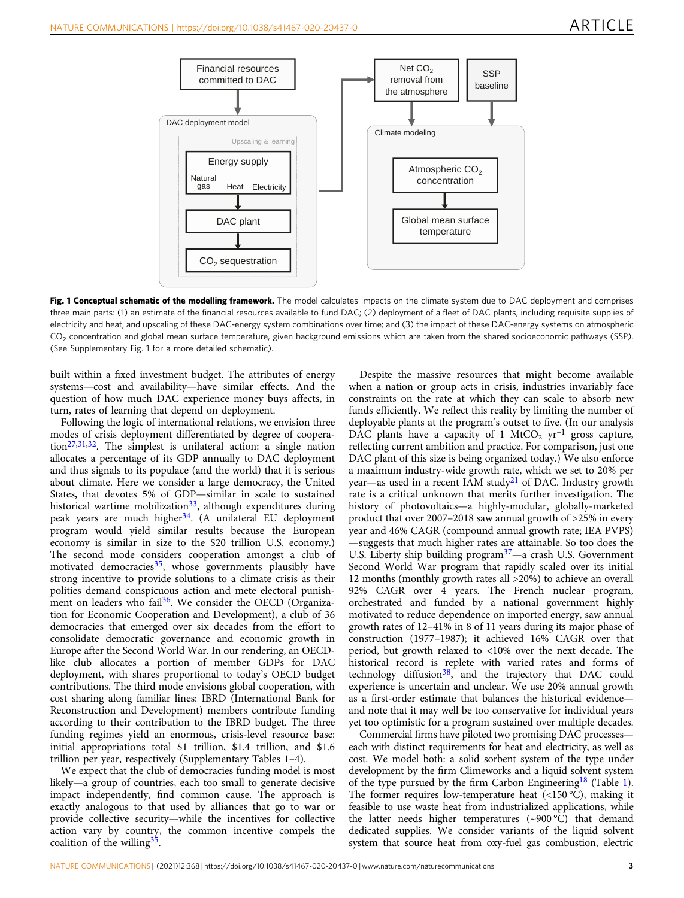<span id="page-2-0"></span>

Fig. 1 Conceptual schematic of the modelling framework. The model calculates impacts on the climate system due to DAC deployment and comprises three main parts: (1) an estimate of the financial resources available to fund DAC; (2) deployment of a fleet of DAC plants, including requisite supplies of electricity and heat, and upscaling of these DAC-energy system combinations over time; and (3) the impact of these DAC-energy systems on atmospheric CO<sub>2</sub> concentration and global mean surface temperature, given background emissions which are taken from the shared socioeconomic pathways (SSP). (See Supplementary Fig. 1 for a more detailed schematic).

built within a fixed investment budget. The attributes of energy systems—cost and availability—have similar effects. And the question of how much DAC experience money buys affects, in turn, rates of learning that depend on deployment.

Following the logic of international relations, we envision three modes of crisis deployment differentiated by degree of cooperation[27](#page-12-0),[31,32.](#page-12-0) The simplest is unilateral action: a single nation allocates a percentage of its GDP annually to DAC deployment and thus signals to its populace (and the world) that it is serious about climate. Here we consider a large democracy, the United States, that devotes 5% of GDP—similar in scale to sustained historical wartime mobilization<sup>33</sup>, although expenditures during peak years are much higher<sup>[34](#page-12-0)</sup>. (A unilateral EU deployment program would yield similar results because the European economy is similar in size to the \$20 trillion U.S. economy.) The second mode considers cooperation amongst a club of motivated democracies $35$ , whose governments plausibly have strong incentive to provide solutions to a climate crisis as their polities demand conspicuous action and mete electoral punishment on leaders who fail<sup>36</sup>. We consider the OECD (Organization for Economic Cooperation and Development), a club of 36 democracies that emerged over six decades from the effort to consolidate democratic governance and economic growth in Europe after the Second World War. In our rendering, an OECDlike club allocates a portion of member GDPs for DAC deployment, with shares proportional to today's OECD budget contributions. The third mode envisions global cooperation, with cost sharing along familiar lines: IBRD (International Bank for Reconstruction and Development) members contribute funding according to their contribution to the IBRD budget. The three funding regimes yield an enormous, crisis-level resource base: initial appropriations total \$1 trillion, \$1.4 trillion, and \$1.6 trillion per year, respectively (Supplementary Tables 1–4).

We expect that the club of democracies funding model is most likely—a group of countries, each too small to generate decisive impact independently, find common cause. The approach is exactly analogous to that used by alliances that go to war or provide collective security—while the incentives for collective action vary by country, the common incentive compels the coalition of the willing<sup>35</sup>.

Despite the massive resources that might become available when a nation or group acts in crisis, industries invariably face constraints on the rate at which they can scale to absorb new funds efficiently. We reflect this reality by limiting the number of deployable plants at the program's outset to five. (In our analysis DAC plants have a capacity of 1 MtCO<sub>2</sub> yr<sup>-1</sup> gross capture, reflecting current ambition and practice. For comparison, just one DAC plant of this size is being organized today.) We also enforce a maximum industry-wide growth rate, which we set to 20% per year—as used in a recent IAM study<sup>21</sup> of DAC. Industry growth rate is a critical unknown that merits further investigation. The history of photovoltaics—a highly-modular, globally-marketed product that over 2007–2018 saw annual growth of >25% in every year and 46% CAGR (compound annual growth rate; IEA PVPS) —suggests that much higher rates are attainable. So too does the U.S. Liberty ship building program<sup>[37](#page-12-0)</sup>—a crash U.S. Government Second World War program that rapidly scaled over its initial 12 months (monthly growth rates all >20%) to achieve an overall 92% CAGR over 4 years. The French nuclear program, orchestrated and funded by a national government highly motivated to reduce dependence on imported energy, saw annual growth rates of 12–41% in 8 of 11 years during its major phase of construction (1977–1987); it achieved 16% CAGR over that period, but growth relaxed to <10% over the next decade. The historical record is replete with varied rates and forms of technology diffusion $38$ , and the trajectory that DAC could experience is uncertain and unclear. We use 20% annual growth as a first-order estimate that balances the historical evidence and note that it may well be too conservative for individual years yet too optimistic for a program sustained over multiple decades.

Commercial firms have piloted two promising DAC processes each with distinct requirements for heat and electricity, as well as cost. We model both: a solid sorbent system of the type under development by the firm Climeworks and a liquid solvent system of the type pursued by the firm Carbon Engineering<sup>[1](#page-3-0)8</sup> (Table 1). The former requires low-temperature heat (<150 °C), making it feasible to use waste heat from industrialized applications, while the latter needs higher temperatures (~900 °C) that demand dedicated supplies. We consider variants of the liquid solvent system that source heat from oxy-fuel gas combustion, electric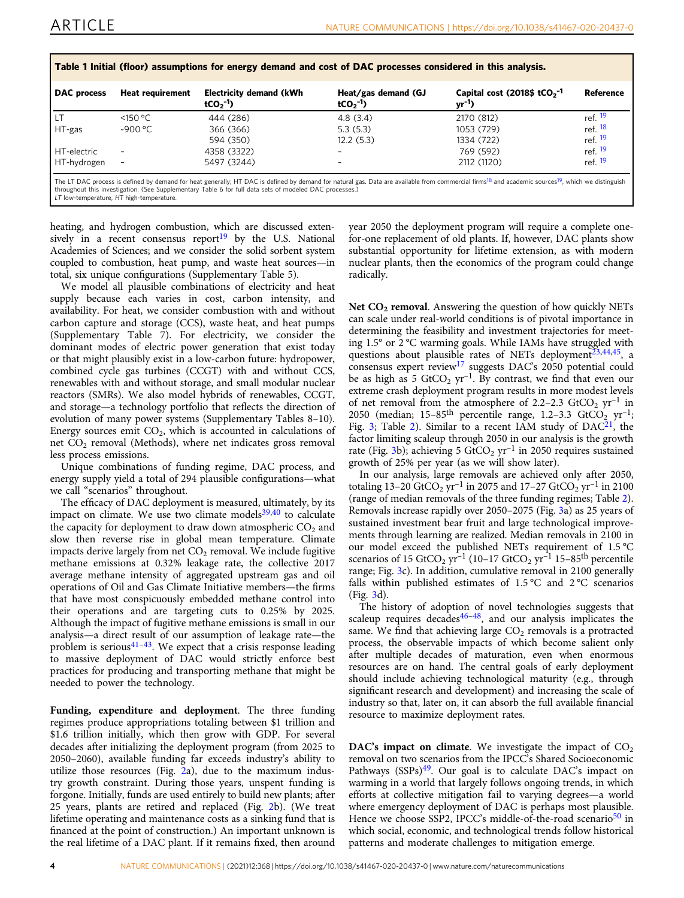| <b>DAC</b> process | <b>Heat requirement</b>  | <b>Electricity demand (kWh</b><br>$tCO2-1$ ) | Heat/gas demand (GJ<br>$tCO2-1$ ) | Capital cost (2018\$ $tCO2$ <sup>-1</sup><br>$vr^{-1}$ | <b>Reference</b> |
|--------------------|--------------------------|----------------------------------------------|-----------------------------------|--------------------------------------------------------|------------------|
|                    | $<$ 150 °C               | 444 (286)                                    | 4.8(3.4)                          | 2170 (812)                                             | ref. $19$        |
| HT-gas             | ~900 °C                  | 366 (366)                                    | 5.3(5.3)                          | 1053 (729)                                             | ref. $18$        |
|                    |                          | 594 (350)                                    | 12.2(5.3)                         | 1334 (722)                                             | ref. $19$        |
| HT-electric        | $\overline{\phantom{0}}$ | 4358 (3322)                                  |                                   | 769 (592)                                              | ref. $19$        |
| HT-hydrogen        | $\overline{\phantom{a}}$ | 5497 (3244)                                  |                                   | 2112 (1120)                                            | ref. $19$        |

<span id="page-3-0"></span>

| Table 1 Initial (floor) assumptions for energy demand and cost of DAC processes considered in this analysis. |  |  |
|--------------------------------------------------------------------------------------------------------------|--|--|
|--------------------------------------------------------------------------------------------------------------|--|--|

The LT DAC process is defined by demand for heat generally; HT DAC is defined by demand for natural gas. Data are available from commercial firms<sup>[18](#page-12-0)</sup> and academic sources<sup>19</sup>, which we distinguish throughout this investigation. (See Supplementary Table 6 for full data sets of modeled DAC processes.) LT low-temperature, HT high-temperature.

heating, and hydrogen combustion, which are discussed exten-sively in a recent consensus report<sup>[19](#page-12-0)</sup> by the U.S. National Academies of Sciences; and we consider the solid sorbent system coupled to combustion, heat pump, and waste heat sources—in total, six unique configurations (Supplementary Table 5).

We model all plausible combinations of electricity and heat supply because each varies in cost, carbon intensity, and availability. For heat, we consider combustion with and without carbon capture and storage (CCS), waste heat, and heat pumps (Supplementary Table 7). For electricity, we consider the dominant modes of electric power generation that exist today or that might plausibly exist in a low-carbon future: hydropower, combined cycle gas turbines (CCGT) with and without CCS, renewables with and without storage, and small modular nuclear reactors (SMRs). We also model hybrids of renewables, CCGT, and storage—a technology portfolio that reflects the direction of evolution of many power systems (Supplementary Tables 8–10). Energy sources emit  $CO<sub>2</sub>$ , which is accounted in calculations of net  $CO<sub>2</sub>$  removal (Methods), where net indicates gross removal less process emissions.

Unique combinations of funding regime, DAC process, and energy supply yield a total of 294 plausible configurations—what we call "scenarios" throughout.

The efficacy of DAC deployment is measured, ultimately, by its impact on climate. We use two climate models $39,40$  $39,40$  $39,40$  to calculate the capacity for deployment to draw down atmospheric  $CO<sub>2</sub>$  and slow then reverse rise in global mean temperature. Climate impacts derive largely from net  $CO<sub>2</sub>$  removal. We include fugitive methane emissions at 0.32% leakage rate, the collective 2017 average methane intensity of aggregated upstream gas and oil operations of Oil and Gas Climate Initiative members—the firms that have most conspicuously embedded methane control into their operations and are targeting cuts to 0.25% by 2025. Although the impact of fugitive methane emissions is small in our analysis—a direct result of our assumption of leakage rate—the problem is serious $41-43$  $41-43$  $41-43$ . We expect that a crisis response leading to massive deployment of DAC would strictly enforce best practices for producing and transporting methane that might be needed to power the technology.

Funding, expenditure and deployment. The three funding regimes produce appropriations totaling between \$1 trillion and \$1.6 trillion initially, which then grow with GDP. For several decades after initializing the deployment program (from 2025 to 2050–2060), available funding far exceeds industry's ability to utilize those resources (Fig. [2](#page-4-0)a), due to the maximum industry growth constraint. During those years, unspent funding is forgone. Initially, funds are used entirely to build new plants; after 25 years, plants are retired and replaced (Fig. [2b](#page-4-0)). (We treat lifetime operating and maintenance costs as a sinking fund that is financed at the point of construction.) An important unknown is the real lifetime of a DAC plant. If it remains fixed, then around year 2050 the deployment program will require a complete onefor-one replacement of old plants. If, however, DAC plants show substantial opportunity for lifetime extension, as with modern nuclear plants, then the economics of the program could change radically.

Net  $CO<sub>2</sub>$  removal. Answering the question of how quickly NETs can scale under real-world conditions is of pivotal importance in determining the feasibility and investment trajectories for meeting 1.5° or 2 °C warming goals. While IAMs have struggled with questions about plausible rates of NETs deployment<sup>23,44,45</sup>, a consensus expert review<sup>[17](#page-12-0)</sup> suggests DAC's 2050 potential could be as high as 5 GtCO<sub>2</sub> yr<sup>-1</sup>. By contrast, we find that even our extreme crash deployment program results in more modest levels of net removal from the atmosphere of 2.2-2.3  $GtCO<sub>2</sub> yr<sup>-1</sup>$  in 2050 (median;  $15-85$ <sup>th</sup> percentile range,  $1.2-3.3$  GtCO<sub>2</sub> yr<sup>-1</sup>; Fig. [3;](#page-5-0) Table [2\)](#page-5-0). Similar to a recent IAM study of  $DAC<sup>21</sup>$ , the factor limiting scaleup through 2050 in our analysis is the growth rate (Fig. [3](#page-5-0)b); achieving 5 GtCO<sub>2</sub> yr<sup>-1</sup> in 2050 requires sustained growth of 25% per year (as we will show later).

In our analysis, large removals are achieved only after 2050, totaling 13–20 GtCO<sub>2</sub> yr<sup>-1</sup> in 2075 and 17–27 GtCO<sub>2</sub> yr<sup>-1</sup> in 2100 (range of median removals of the three funding regimes; Table [2](#page-5-0)). Removals increase rapidly over 2050–2075 (Fig. [3](#page-5-0)a) as 25 years of sustained investment bear fruit and large technological improvements through learning are realized. Median removals in 2100 in our model exceed the published NETs requirement of 1.5 °C scenarios of 15 GtCO<sub>2</sub> yr<sup>-1</sup> (10–17 GtCO<sub>2</sub> yr<sup>-1</sup> 15–85<sup>th</sup> percentile range; Fig. [3](#page-5-0)c). In addition, cumulative removal in 2100 generally falls within published estimates of  $1.5\,^{\circ}\text{C}$  and  $2\,^{\circ}\text{C}$  scenarios (Fig. [3](#page-5-0)d).

The history of adoption of novel technologies suggests that scaleup requires decades $46-48$  $46-48$ , and our analysis implicates the same. We find that achieving large  $CO<sub>2</sub>$  removals is a protracted process, the observable impacts of which become salient only after multiple decades of maturation, even when enormous resources are on hand. The central goals of early deployment should include achieving technological maturity (e.g., through significant research and development) and increasing the scale of industry so that, later on, it can absorb the full available financial resource to maximize deployment rates.

DAC's impact on climate. We investigate the impact of  $CO<sub>2</sub>$ removal on two scenarios from the IPCC's Shared Socioeconomic Pathways  $(SSPs)$ <sup>[49](#page-12-0)</sup>. Our goal is to calculate DAC's impact on warming in a world that largely follows ongoing trends, in which efforts at collective mitigation fail to varying degrees—a world where emergency deployment of DAC is perhaps most plausible. Hence we choose SSP2, IPCC's middle-of-the-road scenario<sup>[50](#page-12-0)</sup> in which social, economic, and technological trends follow historical patterns and moderate challenges to mitigation emerge.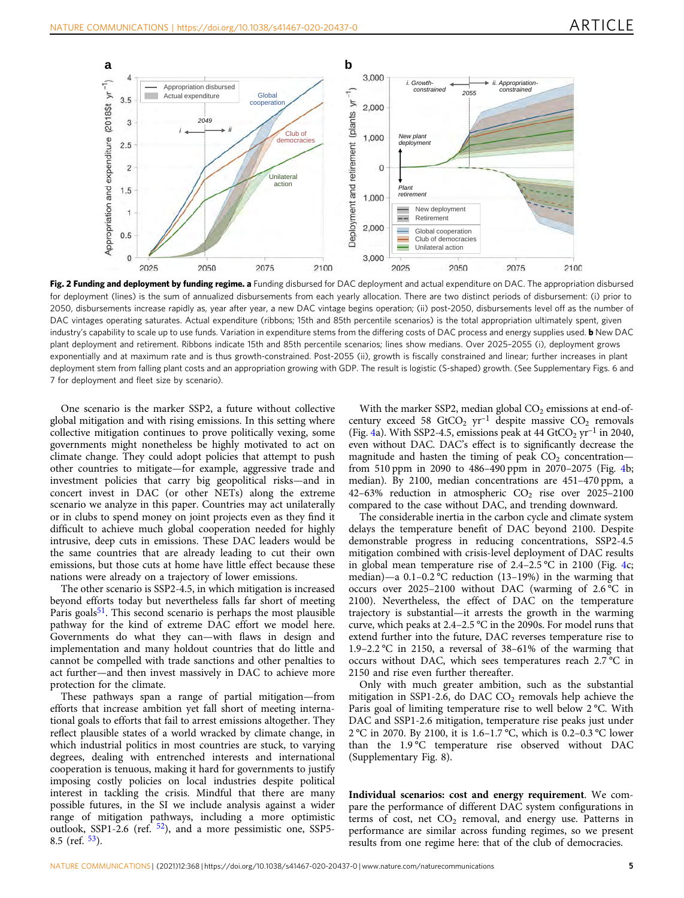<span id="page-4-0"></span>

Fig. 2 Funding and deployment by funding regime. a Funding disbursed for DAC deployment and actual expenditure on DAC. The appropriation disbursed for deployment (lines) is the sum of annualized disbursements from each yearly allocation. There are two distinct periods of disbursement: (i) prior to 2050, disbursements increase rapidly as, year after year, a new DAC vintage begins operation; (ii) post-2050, disbursements level off as the number of DAC vintages operating saturates. Actual expenditure (ribbons; 15th and 85th percentile scenarios) is the total appropriation ultimately spent, given industry's capability to scale up to use funds. Variation in expenditure stems from the differing costs of DAC process and energy supplies used. **b** New DAC plant deployment and retirement. Ribbons indicate 15th and 85th percentile scenarios; lines show medians. Over 2025–2055 (i), deployment grows exponentially and at maximum rate and is thus growth-constrained. Post-2055 (ii), growth is fiscally constrained and linear; further increases in plant deployment stem from falling plant costs and an appropriation growing with GDP. The result is logistic (S-shaped) growth. (See Supplementary Figs. 6 and 7 for deployment and fleet size by scenario).

One scenario is the marker SSP2, a future without collective global mitigation and with rising emissions. In this setting where collective mitigation continues to prove politically vexing, some governments might nonetheless be highly motivated to act on climate change. They could adopt policies that attempt to push other countries to mitigate—for example, aggressive trade and investment policies that carry big geopolitical risks—and in concert invest in DAC (or other NETs) along the extreme scenario we analyze in this paper. Countries may act unilaterally or in clubs to spend money on joint projects even as they find it difficult to achieve much global cooperation needed for highly intrusive, deep cuts in emissions. These DAC leaders would be the same countries that are already leading to cut their own emissions, but those cuts at home have little effect because these nations were already on a trajectory of lower emissions.

The other scenario is SSP2-4.5, in which mitigation is increased beyond efforts today but nevertheless falls far short of meeting Paris goals<sup>51</sup>. This second scenario is perhaps the most plausible pathway for the kind of extreme DAC effort we model here. Governments do what they can—with flaws in design and implementation and many holdout countries that do little and cannot be compelled with trade sanctions and other penalties to act further—and then invest massively in DAC to achieve more protection for the climate.

These pathways span a range of partial mitigation—from efforts that increase ambition yet fall short of meeting international goals to efforts that fail to arrest emissions altogether. They reflect plausible states of a world wracked by climate change, in which industrial politics in most countries are stuck, to varying degrees, dealing with entrenched interests and international cooperation is tenuous, making it hard for governments to justify imposing costly policies on local industries despite political interest in tackling the crisis. Mindful that there are many possible futures, in the SI we include analysis against a wider range of mitigation pathways, including a more optimistic outlook, SSP1-2.6 (ref. [52](#page-12-0)), and a more pessimistic one, SSP5- 8.5 (ref.  $53$ ).

With the marker SSP2, median global  $CO<sub>2</sub>$  emissions at end-ofcentury exceed 58 GtCO<sub>2</sub> yr<sup>-1</sup> despite massive CO<sub>2</sub> removals (Fig. [4](#page-6-0)a). With SSP2-4.5, emissions peak at 44 GtCO<sub>2</sub> yr<sup>-1</sup> in 2040, even without DAC. DAC's effect is to significantly decrease the magnitude and hasten the timing of peak  $CO<sub>2</sub>$  concentration from 510 ppm in 2090 to 486–490 ppm in 2070–2075 (Fig. [4b](#page-6-0); median). By 2100, median concentrations are 451–470 ppm, a 42–63% reduction in atmospheric  $CO<sub>2</sub>$  rise over 2025–2100 compared to the case without DAC, and trending downward.

The considerable inertia in the carbon cycle and climate system delays the temperature benefit of DAC beyond 2100. Despite demonstrable progress in reducing concentrations, SSP2-4.5 mitigation combined with crisis-level deployment of DAC results in global mean temperature rise of  $2.4-2.5$  °C in 2100 (Fig. [4c](#page-6-0); median)—a 0.1–0.2 °C reduction (13–19%) in the warming that occurs over 2025–2100 without DAC (warming of 2.6 °C in 2100). Nevertheless, the effect of DAC on the temperature trajectory is substantial—it arrests the growth in the warming curve, which peaks at 2.4–2.5 °C in the 2090s. For model runs that extend further into the future, DAC reverses temperature rise to 1.9–2.2 °C in 2150, a reversal of 38–61% of the warming that occurs without DAC, which sees temperatures reach 2.7 °C in 2150 and rise even further thereafter.

Only with much greater ambition, such as the substantial mitigation in SSP1-2.6, do DAC  $CO<sub>2</sub>$  removals help achieve the Paris goal of limiting temperature rise to well below 2 °C. With DAC and SSP1-2.6 mitigation, temperature rise peaks just under 2 °C in 2070. By 2100, it is 1.6–1.7 °C, which is 0.2–0.3 °C lower than the 1.9 °C temperature rise observed without DAC (Supplementary Fig. 8).

Individual scenarios: cost and energy requirement. We compare the performance of different DAC system configurations in terms of cost, net  $CO<sub>2</sub>$  removal, and energy use. Patterns in performance are similar across funding regimes, so we present results from one regime here: that of the club of democracies.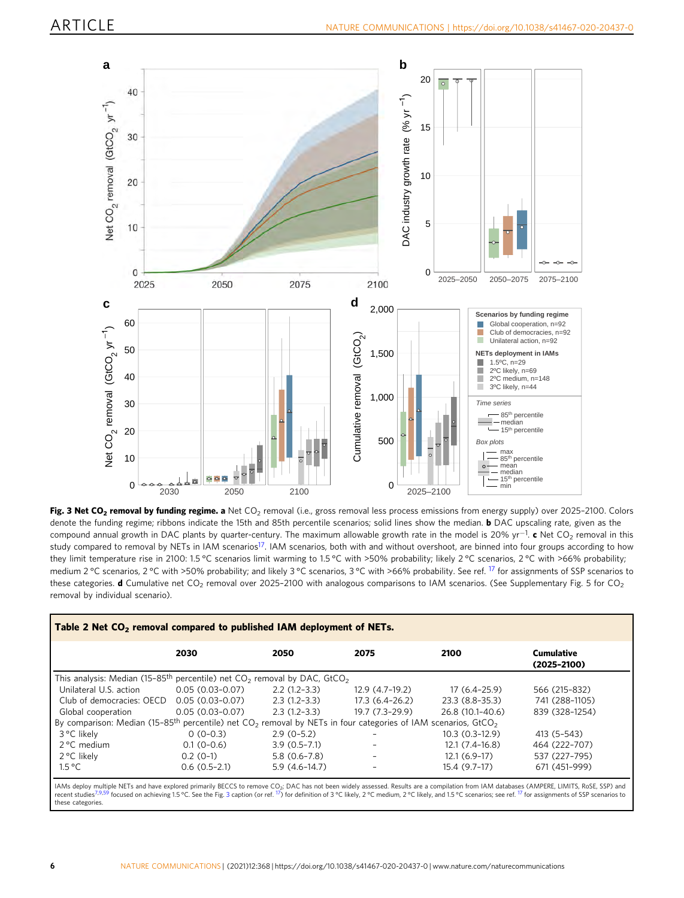<span id="page-5-0"></span>

Fig. 3 Net CO<sub>2</sub> removal by funding regime. a Net CO<sub>2</sub> removal (i.e., gross removal less process emissions from energy supply) over 2025-2100. Colors denote the funding regime; ribbons indicate the 15th and 85th percentile scenarios; solid lines show the median. **b** DAC upscaling rate, given as the compound annual growth in DAC plants by quarter-century. The maximum allowable growth rate in the model is 20% yr<sup>−1</sup>. **c** Net CO<sub>2</sub> removal in this study compared to removal by NETs in IAM scenarios<sup>17</sup>. IAM scenarios, both with and without overshoot, are binned into four groups according to how they limit temperature rise in 2100: 1.5 °C scenarios limit warming to 1.5 °C with >50% probability; likely 2 °C scenarios, 2 °C with >66% probability; medium 2 °C scenarios, 2 °C with >50% probability; and likely 3 °C scenarios, 3 °C with >66% probability. See ref. <sup>[17](#page-12-0)</sup> for assignments of SSP scenarios to these categories. **d** Cumulative net CO<sub>2</sub> removal over 2025-2100 with analogous comparisons to IAM scenarios. (See Supplementary Fig. 5 for CO<sub>2</sub> removal by individual scenario).

|                                                                                                                                                   | 2030                | 2050             | 2075            | 2100             | Cumulative<br>$(2025 - 2100)$ |
|---------------------------------------------------------------------------------------------------------------------------------------------------|---------------------|------------------|-----------------|------------------|-------------------------------|
| This analysis: Median (15-85 <sup>th</sup> percentile) net $CO2$ removal by DAC, GtCO <sub>2</sub>                                                |                     |                  |                 |                  |                               |
| Unilateral U.S. action                                                                                                                            | $0.05(0.03-0.07)$   | $2.2(1.2-3.3)$   | 12.9 (4.7-19.2) | 17 (6.4–25.9)    | 566 (215-832)                 |
| Club of democracies: OECD                                                                                                                         | $0.05(0.03-0.07)$   | $2.3(1.2-3.3)$   | 17.3 (6.4–26.2) | 23.3 (8.8–35.3)  | 741 (288-1105)                |
| Global cooperation                                                                                                                                | $0.05(0.03 - 0.07)$ | $2.3(1.2-3.3)$   | 19.7 (7.3-29.9) | 26.8 (10.1-40.6) | 839 (328-1254)                |
| By comparison: Median (15-85 <sup>th</sup> percentile) net CO <sub>2</sub> removal by NETs in four categories of IAM scenarios, GtCO <sub>2</sub> |                     |                  |                 |                  |                               |
| 3 °C likely                                                                                                                                       | $0(0-0.3)$          | $2.9(0-5.2)$     |                 | $10.3(0.3-12.9)$ | 413 (5-543)                   |
| 2 °C medium                                                                                                                                       | $0.1(0-0.6)$        | $3.9(0.5-7.1)$   |                 | $12.1(7.4-16.8)$ | 464 (222-707)                 |
| 2 °C likely                                                                                                                                       | $0.2(0-1)$          | $5.8(0.6 - 7.8)$ |                 | $12.1(6.9-17)$   | 537 (227-795)                 |
| 1.5 °C                                                                                                                                            | $0.6(0.5-2.1)$      | $5.9(4.6-14.7)$  |                 | $15.4(9.7-17)$   | 671 (451-999)                 |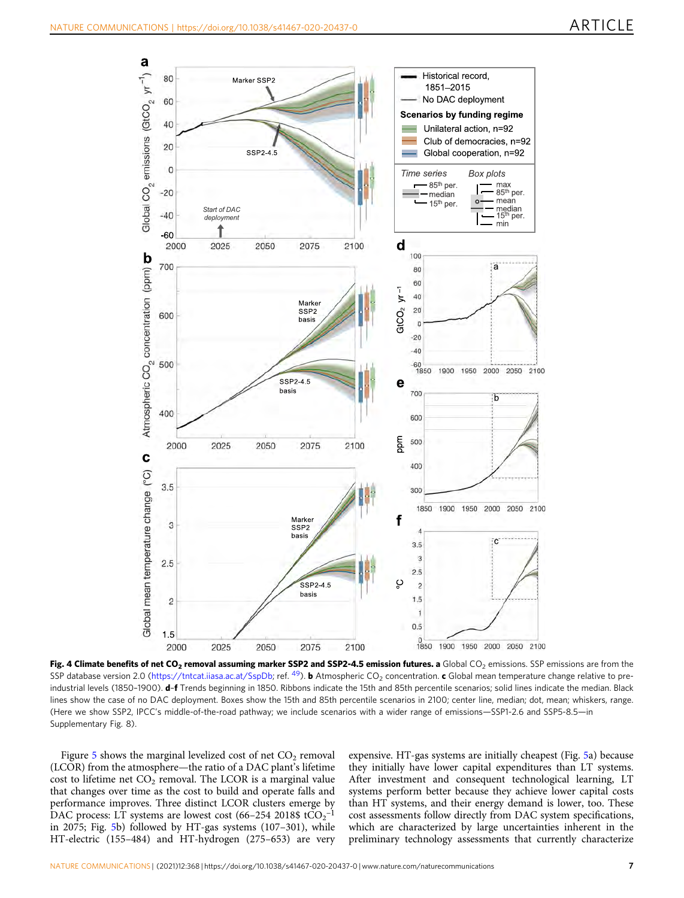<span id="page-6-0"></span>

Fig. 4 Climate benefits of net CO<sub>2</sub> removal assuming marker SSP2 and SSP2-4.5 emission futures. a Global CO<sub>2</sub> emissions. SSP emissions are from the SSP database version 2.0 (<https://tntcat.iiasa.ac.at/SspDb>; ref. <sup>[49](#page-12-0)</sup>). **b** Atmospheric CO<sub>2</sub> concentration. **c** Global mean temperature change relative to preindustrial levels (1850-1900). d-f Trends beginning in 1850. Ribbons indicate the 15th and 85th percentile scenarios; solid lines indicate the median. Black lines show the case of no DAC deployment. Boxes show the 15th and 85th percentile scenarios in 2100; center line, median; dot, mean; whiskers, range. (Here we show SSP2, IPCC's middle-of-the-road pathway; we include scenarios with a wider range of emissions—SSP1-2.6 and SSP5-8.5—in Supplementary Fig. 8).

Figure [5](#page-7-0) shows the marginal levelized cost of net  $CO<sub>2</sub>$  removal (LCOR) from the atmosphere—the ratio of a DAC plant's lifetime cost to lifetime net  $CO<sub>2</sub>$  removal. The LCOR is a marginal value that changes over time as the cost to build and operate falls and performance improves. Three distinct LCOR clusters emerge by DAC process: LT systems are lowest cost (66–254 2018\$ tCO<sub>2</sub><sup>-1</sup> in 2075; Fig. [5](#page-7-0)b) followed by HT-gas systems (107–301), while HT-electric (155–484) and HT-hydrogen (275–653) are very

expensive. HT-gas systems are initially cheapest (Fig. [5a](#page-7-0)) because they initially have lower capital expenditures than LT systems. After investment and consequent technological learning, LT systems perform better because they achieve lower capital costs than HT systems, and their energy demand is lower, too. These cost assessments follow directly from DAC system specifications, which are characterized by large uncertainties inherent in the preliminary technology assessments that currently characterize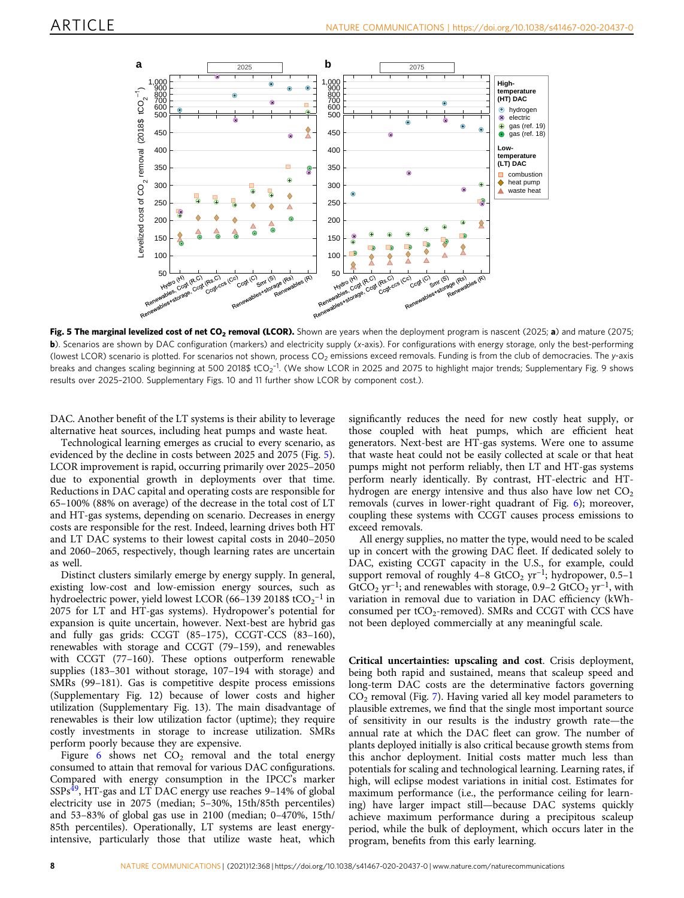<span id="page-7-0"></span>

Fig. 5 The marginal levelized cost of net CO<sub>2</sub> removal (LCOR). Shown are years when the deployment program is nascent (2025; a) and mature (2075; b). Scenarios are shown by DAC configuration (markers) and electricity supply (x-axis). For configurations with energy storage, only the best-performing (lowest LCOR) scenario is plotted. For scenarios not shown, process CO<sub>2</sub> emissions exceed removals. Funding is from the club of democracies. The y-axis breaks and changes scaling beginning at 500 2018\$ tCO<sub>2</sub><sup>-1</sup>. (We show LCOR in 2025 and 2075 to highlight major trends; Supplementary Fig. 9 shows results over 2025–2100. Supplementary Figs. 10 and 11 further show LCOR by component cost.).

DAC. Another benefit of the LT systems is their ability to leverage alternative heat sources, including heat pumps and waste heat.

Technological learning emerges as crucial to every scenario, as evidenced by the decline in costs between 2025 and 2075 (Fig. 5). LCOR improvement is rapid, occurring primarily over 2025–2050 due to exponential growth in deployments over that time. Reductions in DAC capital and operating costs are responsible for 65–100% (88% on average) of the decrease in the total cost of LT and HT-gas systems, depending on scenario. Decreases in energy costs are responsible for the rest. Indeed, learning drives both HT and LT DAC systems to their lowest capital costs in 2040–2050 and 2060–2065, respectively, though learning rates are uncertain as well.

Distinct clusters similarly emerge by energy supply. In general, existing low-cost and low-emission energy sources, such as hydroelectric power, yield lowest LCOR (66–139 2018\$ tCO<sub>2</sub><sup>-1</sup> in 2075 for LT and HT-gas systems). Hydropower's potential for expansion is quite uncertain, however. Next-best are hybrid gas and fully gas grids: CCGT (85–175), CCGT-CCS (83–160), renewables with storage and CCGT (79–159), and renewables with CCGT (77–160). These options outperform renewable supplies (183–301 without storage, 107–194 with storage) and SMRs (99–181). Gas is competitive despite process emissions (Supplementary Fig. 12) because of lower costs and higher utilization (Supplementary Fig. 13). The main disadvantage of renewables is their low utilization factor (uptime); they require costly investments in storage to increase utilization. SMRs perform poorly because they are expensive.

Figure [6](#page-8-0) shows net  $CO<sub>2</sub>$  removal and the total energy consumed to attain that removal for various DAC configurations. Compared with energy consumption in the IPCC's marker SSPs<sup>[49](#page-12-0)</sup>, HT-gas and LT DAC energy use reaches 9–14% of global electricity use in 2075 (median; 5–30%, 15th/85th percentiles) and 53–83% of global gas use in 2100 (median; 0–470%, 15th/ 85th percentiles). Operationally, LT systems are least energyintensive, particularly those that utilize waste heat, which

significantly reduces the need for new costly heat supply, or those coupled with heat pumps, which are efficient heat generators. Next-best are HT-gas systems. Were one to assume that waste heat could not be easily collected at scale or that heat pumps might not perform reliably, then LT and HT-gas systems perform nearly identically. By contrast, HT-electric and HThydrogen are energy intensive and thus also have low net  $CO<sub>2</sub>$ removals (curves in lower-right quadrant of Fig. [6\)](#page-8-0); moreover, coupling these systems with CCGT causes process emissions to exceed removals.

All energy supplies, no matter the type, would need to be scaled up in concert with the growing DAC fleet. If dedicated solely to DAC, existing CCGT capacity in the U.S., for example, could support removal of roughly  $4-8$  GtCO<sub>2</sub> yr<sup>-1</sup>; hydropower, 0.5-1 GtCO<sub>2</sub> yr<sup>-1</sup>; and renewables with storage, 0.9-2 GtCO<sub>2</sub> yr<sup>-1</sup>, with variation in removal due to variation in DAC efficiency (kWhconsumed per  $tCO_2$ -removed). SMRs and CCGT with CCS have not been deployed commercially at any meaningful scale.

Critical uncertainties: upscaling and cost. Crisis deployment, being both rapid and sustained, means that scaleup speed and long-term DAC costs are the determinative factors governing  $CO<sub>2</sub>$  removal (Fig. [7\)](#page-8-0). Having varied all key model parameters to plausible extremes, we find that the single most important source of sensitivity in our results is the industry growth rate—the annual rate at which the DAC fleet can grow. The number of plants deployed initially is also critical because growth stems from this anchor deployment. Initial costs matter much less than potentials for scaling and technological learning. Learning rates, if high, will eclipse modest variations in initial cost. Estimates for maximum performance (i.e., the performance ceiling for learning) have larger impact still—because DAC systems quickly achieve maximum performance during a precipitous scaleup period, while the bulk of deployment, which occurs later in the program, benefits from this early learning.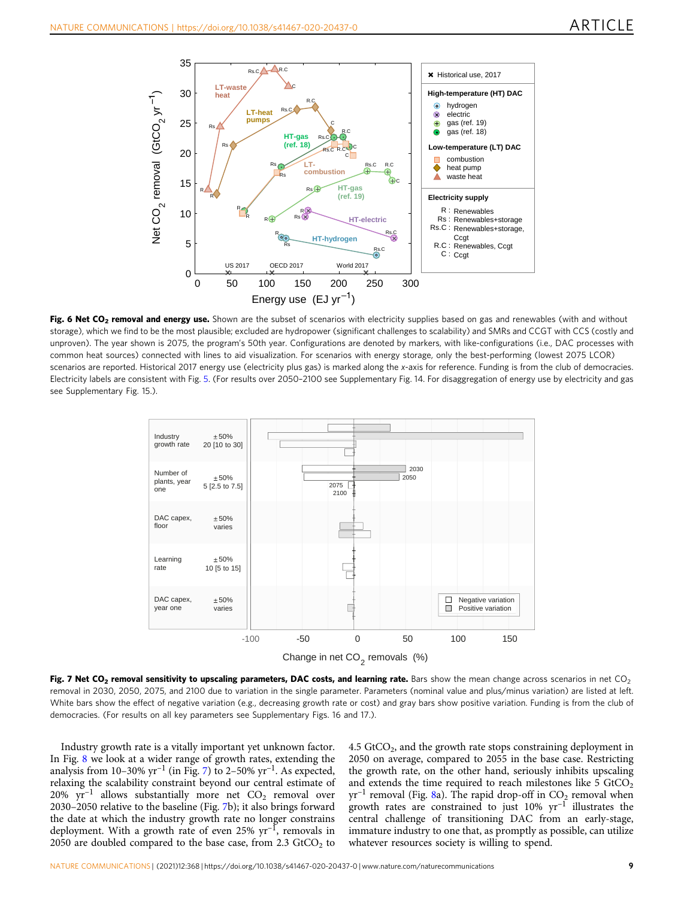<span id="page-8-0"></span>

Fig. 6 Net CO<sub>2</sub> removal and energy use. Shown are the subset of scenarios with electricity supplies based on gas and renewables (with and without storage), which we find to be the most plausible; excluded are hydropower (significant challenges to scalability) and SMRs and CCGT with CCS (costly and unproven). The year shown is 2075, the program's 50th year. Configurations are denoted by markers, with like-configurations (i.e., DAC processes with common heat sources) connected with lines to aid visualization. For scenarios with energy storage, only the best-performing (lowest 2075 LCOR) scenarios are reported. Historical 2017 energy use (electricity plus gas) is marked along the x-axis for reference. Funding is from the club of democracies. Electricity labels are consistent with Fig. [5](#page-7-0). (For results over 2050–2100 see Supplementary Fig. 14. For disaggregation of energy use by electricity and gas see Supplementary Fig. 15.).



Fig. 7 Net CO<sub>2</sub> removal sensitivity to upscaling parameters, DAC costs, and learning rate. Bars show the mean change across scenarios in net CO<sub>2</sub> removal in 2030, 2050, 2075, and 2100 due to variation in the single parameter. Parameters (nominal value and plus/minus variation) are listed at left. White bars show the effect of negative variation (e.g., decreasing growth rate or cost) and gray bars show positive variation. Funding is from the club of democracies. (For results on all key parameters see Supplementary Figs. 16 and 17.).

Industry growth rate is a vitally important yet unknown factor. In Fig. [8](#page-9-0) we look at a wider range of growth rates, extending the analysis from 10-30%  $yr^{-1}$  (in Fig. 7) to 2-50%  $yr^{-1}$ . As expected, relaxing the scalability constraint beyond our central estimate of 20%  $yr^{-1}$  allows substantially more net  $CO<sub>2</sub>$  removal over 2030–2050 relative to the baseline (Fig. 7b); it also brings forward the date at which the industry growth rate no longer constrains deployment. With a growth rate of even  $25\%$  yr<sup>-1</sup>, removals in 2050 are doubled compared to the base case, from 2.3  $GtCO<sub>2</sub>$  to

4.5  $GtCO<sub>2</sub>$ , and the growth rate stops constraining deployment in 2050 on average, compared to 2055 in the base case. Restricting the growth rate, on the other hand, seriously inhibits upscaling and extends the time required to reach milestones like  $5 \text{ GtCO}_2$  $yr^{-1}$  removal (Fig. [8a](#page-9-0)). The rapid drop-off in  $CO_2$  removal when growth rates are constrained to just  $10\%$  yr<sup>-1</sup> illustrates the central challenge of transitioning DAC from an early-stage, immature industry to one that, as promptly as possible, can utilize whatever resources society is willing to spend.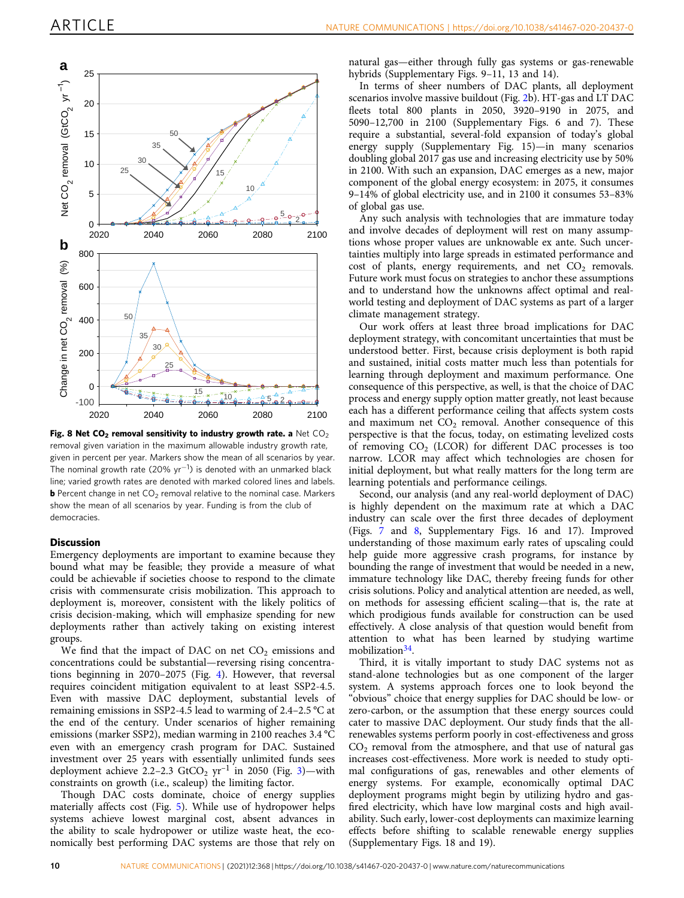<span id="page-9-0"></span>

Fig. 8 Net CO<sub>2</sub> removal sensitivity to industry growth rate. a Net CO<sub>2</sub> removal given variation in the maximum allowable industry growth rate, given in percent per year. Markers show the mean of all scenarios by year. The nominal growth rate (20% yr−<sup>1</sup> ) is denoted with an unmarked black line; varied growth rates are denoted with marked colored lines and labels. **b** Percent change in net  $CO<sub>2</sub>$  removal relative to the nominal case. Markers show the mean of all scenarios by year. Funding is from the club of democracies.

# **Discussion**

Emergency deployments are important to examine because they bound what may be feasible; they provide a measure of what could be achievable if societies choose to respond to the climate crisis with commensurate crisis mobilization. This approach to deployment is, moreover, consistent with the likely politics of crisis decision-making, which will emphasize spending for new deployments rather than actively taking on existing interest groups.

We find that the impact of DAC on net  $CO<sub>2</sub>$  emissions and concentrations could be substantial—reversing rising concentrations beginning in 2070–2075 (Fig. [4\)](#page-6-0). However, that reversal requires coincident mitigation equivalent to at least SSP2-4.5. Even with massive DAC deployment, substantial levels of remaining emissions in SSP2-4.5 lead to warming of 2.4–2.5 °C at the end of the century. Under scenarios of higher remaining emissions (marker SSP2), median warming in 2100 reaches 3.4 °C even with an emergency crash program for DAC. Sustained investment over 25 years with essentially unlimited funds sees deployment achieve 2.2-2.3 GtCO<sub>2</sub> yr<sup>-1</sup> in 2050 (Fig. [3\)](#page-5-0)—with constraints on growth (i.e., scaleup) the limiting factor.

Though DAC costs dominate, choice of energy supplies materially affects cost (Fig. [5\)](#page-7-0). While use of hydropower helps systems achieve lowest marginal cost, absent advances in the ability to scale hydropower or utilize waste heat, the economically best performing DAC systems are those that rely on

natural gas—either through fully gas systems or gas-renewable hybrids (Supplementary Figs. 9–11, 13 and 14).

In terms of sheer numbers of DAC plants, all deployment scenarios involve massive buildout (Fig. [2b](#page-4-0)). HT-gas and LT DAC fleets total 800 plants in 2050, 3920–9190 in 2075, and 5090–12,700 in 2100 (Supplementary Figs. 6 and 7). These require a substantial, several-fold expansion of today's global energy supply (Supplementary Fig. 15)—in many scenarios doubling global 2017 gas use and increasing electricity use by 50% in 2100. With such an expansion, DAC emerges as a new, major component of the global energy ecosystem: in 2075, it consumes 9–14% of global electricity use, and in 2100 it consumes 53–83% of global gas use.

Any such analysis with technologies that are immature today and involve decades of deployment will rest on many assumptions whose proper values are unknowable ex ante. Such uncertainties multiply into large spreads in estimated performance and cost of plants, energy requirements, and net  $CO<sub>2</sub>$  removals. Future work must focus on strategies to anchor these assumptions and to understand how the unknowns affect optimal and realworld testing and deployment of DAC systems as part of a larger climate management strategy.

Our work offers at least three broad implications for DAC deployment strategy, with concomitant uncertainties that must be understood better. First, because crisis deployment is both rapid and sustained, initial costs matter much less than potentials for learning through deployment and maximum performance. One consequence of this perspective, as well, is that the choice of DAC process and energy supply option matter greatly, not least because each has a different performance ceiling that affects system costs and maximum net  $CO<sub>2</sub>$  removal. Another consequence of this perspective is that the focus, today, on estimating levelized costs of removing  $CO<sub>2</sub>$  (LCOR) for different DAC processes is too narrow. LCOR may affect which technologies are chosen for initial deployment, but what really matters for the long term are learning potentials and performance ceilings.

Second, our analysis (and any real-world deployment of DAC) is highly dependent on the maximum rate at which a DAC industry can scale over the first three decades of deployment (Figs. [7](#page-8-0) and 8, Supplementary Figs. 16 and 17). Improved understanding of those maximum early rates of upscaling could help guide more aggressive crash programs, for instance by bounding the range of investment that would be needed in a new, immature technology like DAC, thereby freeing funds for other crisis solutions. Policy and analytical attention are needed, as well, on methods for assessing efficient scaling—that is, the rate at which prodigious funds available for construction can be used effectively. A close analysis of that question would benefit from attention to what has been learned by studying wartime mobilization<sup>34</sup>.

Third, it is vitally important to study DAC systems not as stand-alone technologies but as one component of the larger system. A systems approach forces one to look beyond the "obvious" choice that energy supplies for DAC should be low- or zero-carbon, or the assumption that these energy sources could cater to massive DAC deployment. Our study finds that the allrenewables systems perform poorly in cost-effectiveness and gross  $CO<sub>2</sub>$  removal from the atmosphere, and that use of natural gas increases cost-effectiveness. More work is needed to study optimal configurations of gas, renewables and other elements of energy systems. For example, economically optimal DAC deployment programs might begin by utilizing hydro and gasfired electricity, which have low marginal costs and high availability. Such early, lower-cost deployments can maximize learning effects before shifting to scalable renewable energy supplies (Supplementary Figs. 18 and 19).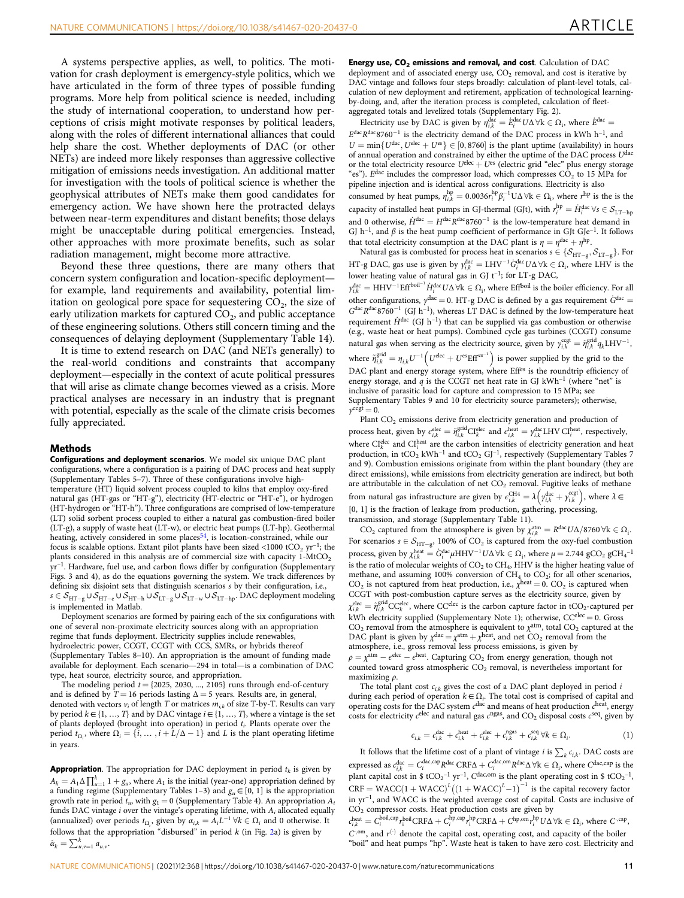A systems perspective applies, as well, to politics. The motivation for crash deployment is emergency-style politics, which we have articulated in the form of three types of possible funding programs. More help from political science is needed, including the study of international cooperation, to understand how perceptions of crisis might motivate responses by political leaders, along with the roles of different international alliances that could help share the cost. Whether deployments of DAC (or other NETs) are indeed more likely responses than aggressive collective mitigation of emissions needs investigation. An additional matter for investigation with the tools of political science is whether the geophysical attributes of NETs make them good candidates for emergency action. We have shown here the protracted delays between near-term expenditures and distant benefits; those delays might be unacceptable during political emergencies. Instead, other approaches with more proximate benefits, such as solar radiation management, might become more attractive.

Beyond these three questions, there are many others that concern system configuration and location-specific deployment for example, land requirements and availability, potential limitation on geological pore space for sequestering  $CO<sub>2</sub>$ , the size of early utilization markets for captured  $CO<sub>2</sub>$ , and public acceptance of these engineering solutions. Others still concern timing and the consequences of delaying deployment (Supplementary Table 14).

It is time to extend research on DAC (and NETs generally) to the real-world conditions and constraints that accompany deployment—especially in the context of acute political pressures that will arise as climate change becomes viewed as a crisis. More practical analyses are necessary in an industry that is pregnant with potential, especially as the scale of the climate crisis becomes fully appreciated.

#### Methods

Configurations and deployment scenarios. We model six unique DAC plant configurations, where a configuration is a pairing of DAC process and heat supply (Supplementary Tables 5–7). Three of these configurations involve hightemperature (HT) liquid solvent process coupled to kilns that employ oxy-fired natural gas (HT-gas or "HT-g"), electricity (HT-electric or "HT-e"), or hydrogen (HT-hydrogen or "HT-h"). Three configurations are comprised of low-temperature (LT) solid sorbent process coupled to either a natural gas combustion-fired boiler (LT-g), a supply of waste heat (LT-w), or electric heat pumps (LT-hp). Geothermal heating, actively considered in some places[54,](#page-12-0) is location-constrained, while our focus is scalable options. Extant pilot plants have been sized <1000 tCO<sub>2</sub> yr<sup>-1</sup>; the plants considered in this analysis are of commercial size with capacity  $1$ -MtCO<sub>2</sub> yr<sup>-1</sup>. Hardware, fuel use, and carbon flows differ by configuration (Supplementary Figs. 3 and 4), as do the equations governing the system. We track differences by defining six disjoint sets that distinguish scenarios s by their configuration, i.e.,  $s \in \mathcal{S}_{\mathrm{HT}-g} \cup \mathcal{S}_{\mathrm{HT}-h} \cup \mathcal{S}_{\mathrm{LT}-g} \cup \mathcal{S}_{\mathrm{LT}-w} \cup \mathcal{S}_{\mathrm{LT-hp}}$ . DAC deployment modeling<br>is implemented in Matleb is implemented in Matlab.

Deployment scenarios are formed by pairing each of the six configurations with one of several non-proximate electricity sources along with an appropriation regime that funds deployment. Electricity supplies include renewables, hydroelectric power, CCGT, CCGT with CCS, SMRs, or hybrids thereof (Supplementary Tables 8–10). An appropriation is the amount of funding made available for deployment. Each scenario—294 in total—is a combination of DAC type, heat source, electricity source, and appropriation.

The modeling period  $t = \{2025, 2030, ..., 2105\}$  runs through end-of-century and is defined by  $T = 16$  periods lasting  $\Delta = 5$  years. Results are, in general, denoted with vectors  $v_i$  of length T or matrices  $m_{i,k}$  of size T-by-T. Results can vary by period  $k \in \{1, ..., T\}$  and by DAC vintage  $i \in \{1, ..., T\}$ , where a vintage is the set of plants deployed (brought into operation) in period  $t_i$ . Plants operate over the period  $t_{\Omega_i}$ , where  $\Omega_i = \{i, \dots, i + L/\Delta - 1\}$  and L is the plant operating lifetime in years.

**Appropriation**. The appropriation for DAC deployment in period  $t_k$  is given by  $A_k = A_1 \Delta \prod_{u=1}^k 1 + g_u$ , where  $A_1$  is the initial (year-one) appropriation defined by a funding regime (Supplementary Tables 1–3) and  $a \in [0, 1]$  is the appropriation a funding regime (Supplementary Tables 1–3) and  $g_u \in [0,\,1]$  is the appropriation growth rate in period  $t_u$ , with  $g_1 = 0$  (Supplementary Table 4). An appropriation  $A_i$ funds DAC vintage  $i$  over the vintage's operating lifetime, with  $A_i$  allocated equally (annualized) over periods  $t_{\Omega_i}$ , given by  $\alpha_{i,k} = A_i L^{-1} \forall k \in \Omega_i$  and 0 otherwise. It<br>follows that the annonviation "dishward" in pariod k (in Fig. 20) is given by follows that the appropriation "disbursed" in period  $k$  (in Fig. [2a](#page-4-0)) is given by  $\hat{\alpha}_k = \sum_{u,v=1}^k a_{u,v}$ .

Energy use,  $CO<sub>2</sub>$  emissions and removal, and cost. Calculation of DAC deployment and of associated energy use,  $CO<sub>2</sub>$  removal, and cost is iterative by DAC vintage and follows four steps broadly: calculation of plant-level totals, calculation of new deployment and retirement, application of technological learningby-doing, and, after the iteration process is completed, calculation of fleetaggregated totals and levelized totals (Supplementary Fig. 2).

Electricity use by DAC is given by  $\eta_{ik}^{\text{dac}} = \dot{E}_i^{\text{dac}} U\Delta \forall k \in \Omega_i$ , where  $\dot{E}^{\text{dac}} =$ <br>c pdac 0760-1 is the gleatricity demand of the DAC process in LWh h-1 a  $E^{dac}R^{dac}8760^{-1}$  is the electricity demand of the DAC process in kWh h<sup>-1</sup>, and  $U = \min\{U^{\text{dac}}, U^{\text{elec}} + U^{\text{es}}\} \in [0, 8760]$  is the plant uptime (availability) in hours of annual operation and constrained by either the uptime of the DAC process  $U^{\text{dac}}$ or the total electricity resource  $U^{elec} + U^{es}$  (electric grid "elec" plus energy storage "es").  $E^{dac}$  includes the compressor load, which compresses  $CO<sub>2</sub>$  to 15 MPa for pipeline injection and is identical across configurations. Electricity is also consumed by heat pumps,  $\eta_{i,k}^{\text{hp}} = 0.0036 r_i^{\text{hp}} \beta_i^{-1} U \Delta \forall k \in \Omega_i$ , where  $r^{\text{hp}}$  is the is the capacity of installed heat pumps in GJ-thermal (GJt), with  $r_i^{\text{hp}} = \dot{H}_i^{\text{dac}} \forall s \in S_{LT-\text{hp}}$ and 0 otherwise,  $\dot{H}^{dac} = H^{dac} R^{dac} 8760^{-1}$  is the low-temperature heat demand in GI h<sup>-1</sup>, and *B* is the heat pump coefficient of performance in GIt GIe<sup>-1</sup> It follow GJ h<sup>-1</sup>, and  $\beta$  is the heat pump coefficient of performance in GJt GJe<sup>-1</sup>. It follows that total electricity consumption at the DAC plant is  $\eta = \eta^{\text{dac}} + \eta^{\text{hp}}$ .

Natural gas is combusted for process heat in scenarios  $s \in \{S_{\mathrm{HT}-g}, S_{\mathrm{LT}-g}\}\.$  For HT-g DAC, gas use is given by  $y_{ik}^{dac} = LHV^{-1}G_i^{dac}U\Delta \forall k \in \Omega_i$ , where LHV is the lower botting volue of potural goe in CI to LK at LT g DAC. lower heating value of natural gas in GJ t–1; for LT-g DAC,

 $\gamma_{i,k}^{\text{dac}} = \text{HHV}^{-1} \text{Ef}^{\text{boil}^{-1}} H_i^{\text{dac}} U \Delta \forall k \in \Omega_i$ , where Eff<sup>boil</sup> is the boiler efficiency. For all data the boiler efficiency. For all data the solution of the solution of the solution of the solution of the so other configurations,  $\gamma^{dac} = 0$ . HT-g DAC is defined by a gas requirement  $G^{dac} =$  $G^{dac}R^{dac}$ 8760<sup>-1</sup> (GJ h<sup>-1</sup>), whereas LT DAC is defined by the low-temperature heat requirement  $\dot{H}^{\rm dac}$  (GJ h<sup>-1</sup>) that can be supplied via gas combustion or otherwise (e.g., waste heat or heat pumps). Combined cycle gas turbines (CCGT) consume natural gas when serving as the electricity source, given by  $y_{i,k}^{\text{cegt}} = \tilde{\eta}_{i,k}^{\text{grid}} q_k L H V^{-1}$ , where  $\tilde{\eta}_{i,k}^{\text{grid}} = \eta_{i,k} U^{-1} \left( U^{\text{elec}} + U^{\text{es}} \text{Eff}^{\text{es-1}} \right)$  is power supplied by the grid to the DAC plant and energy storage system, where Effes is the roundtrip efficiency of energy storage, and  $q$  is the CCGT net heat rate in GJ kWh<sup>-1</sup> (where "net" is inclusive of parasitic load for capture and compression to 15 MPa; see Supplementary Tables 9 and 10 for electricity source parameters); otherwise,  $v^{c}$ cgt = 0.

Plant CO<sub>2</sub> emissions derive from electricity generation and production of process heat, given by  $\epsilon_{i,k}^{\text{elec}} = \tilde{\eta}_{i,k}^{\text{grid}} \text{C} \Gamma_k^{\text{heat}} = \gamma_{i,k}^{\text{dac}} \text{LHV C} \Gamma_i^{\text{heat}}$ , respectively, where  $\text{CI}_k^{\text{elec}}$  and  $\text{CI}_1^{\text{heat}}$  are the carbon intensities of electricity generation and heat production, in tCO<sub>2</sub> kWh<sup>-1</sup> and tCO<sub>2</sub> GJ<sup>-1</sup>, respectively (Supplementary Tables 7 and 9). Combustion emissions originate from within the plant boundary (they are direct emissions), while emissions from electricity generation are indirect, but both are attributable in the calculation of net  $CO<sub>2</sub>$  removal. Fugitive leaks of methane from natural gas infrastructure are given by  $\epsilon_{i,k}^{\text{CH4}} = \lambda \left( \gamma_{i,k}^{\text{dac}} + \gamma_{i,k}^{\text{ccgt}} \right)$ , where  $\lambda \in$ [0, 1] is the fraction of leakage from production, gathering, processing, transmission, and storage (Supplementary Table 11).

CO<sub>2</sub> captured from the atmosphere is given by  $\chi_{ik}^{\text{atm}} = R^{\text{dac}} U\Delta/8760 \forall k \in \Omega_i$ .<br>the contains  $\epsilon \in S$  and  $100\%$  of CO is contained from the oxy fuel combustion For scenarios  $s \in S_{\text{HT}-g}$ , 100% of CO<sub>2</sub> is captured from the oxy-fuel combustion<br>groups since he shelt and containing containing the original containing containing containing containing the containing containing conta process, given by  $\chi_{ik}^{\text{heat}} = \dot{G}_i^{\text{dac}} \mu H H V^{-1} U \Delta \forall k \in \Omega_i$ , where  $\mu = 2.744 \text{ gCO}_2 \text{ gCH}_4^{-1}$ is the ratio of molecular weights of  $CO<sub>2</sub>$  to  $CH<sub>4</sub>$ , HHV is the higher heating value of methane, and assuming 100% conversion of  $CH_4$  to  $CO_2$ ; for all other scenarios,  $CO<sub>2</sub>$  is not captured from heat production, i.e.,  $\chi^{\text{heat}} = 0$ .  $CO<sub>2</sub>$  is captured when CCGT with post-combustion capture serves as the electricity source, given by  $\chi_{i,k}^{\text{elec}} = \tilde{\eta}_{i,k}^{\text{grid}}$ CCelec, where CCelec is the carbon capture factor in tCO<sub>2</sub>-captured per kWh electricity supplied (Supplementary Note 1); otherwise,  $CC^{elec} = 0$ . Gross  $CO<sub>2</sub>$  removal from the atmosphere is equivalent to  $\chi^{\text{atm}}$ , total  $CO<sub>2</sub>$  captured at the DAC plant is given by  $\chi^{\text{dac}} = \chi^{\text{atm}} + \chi^{\text{heat}}$ , and net CO<sub>2</sub> removal from the atmosphere, i.e., gross removal less process emissions, is given by  $\rho = \chi^{\text{atm}} - e^{\text{elec}} - e^{\text{heat}}$ . Capturing CO<sub>2</sub> from energy generation, though not counted toward gross atmospheric CO<sub>2</sub> removal is nevertheless important counted toward gross atmospheric  $CO<sub>2</sub>$  removal, is nevertheless important for maximizing  $\rho$ .

The total plant cost  $c_{i,k}$  gives the cost of a DAC plant deployed in period  $i$ during each period of operation  $k \in \Omega_i$ . The total cost is comprised of capital and operating costs for the DAC system  $c^{dac}$  and means of heat production  $c^{heat}$ , energy costs for electricity  $c^{elec}$  and natural gas  $c^{ngas}$ , and  $CO<sub>2</sub>$  disposal costs  $c^{seq}$ , given by

$$
c_{i,k} = c_{i,k}^{\text{dac}} + c_{i,k}^{\text{heat}} + c_{i,k}^{\text{elec}} + c_{i,k}^{\text{ngas}} + c_{i,k}^{\text{seq}} \forall k \in \Omega_i.
$$
 (1)

It follows that the lifetime cost of a plant of vintage *i* is  $\sum_{k} c_{i,k}$ . DAC costs are expressed as  $c_{i,k}^{\text{dac,cap}} = C_i^{\text{dac,cap}} R^{\text{dac,cap}} + C_i^{\text{dac,om}} R^{\text{dac}} \Delta \forall k \in \Omega_i$ , where  $C^{\text{dac,cap}}$  is the plant capital cost in \$ tCO<sub>2</sub><sup>-1</sup>,  $C^{\text{dac,cap}}$  is the plant operating cost in \$ tCO<sub>2</sub><sup>-1</sup>.  $CRF = WACC(1 + WACC)^{L}(1 + WACC)^{L}-1)^{-1}$  is the capital recovery factor<br>in  $yr^{-1}$  and  $WACC$  is the weighted average cost of capital. Costs are inclusive c in yr<sup>-1</sup>, and WACC is the weighted average cost of capital. Costs are inclusive of  $CO<sub>2</sub>$  compressor costs. Heat production costs are given by

 $c_{i,k}^{\text{heat}} = C_i^{\text{boil,cap}} r_i^{\text{hoil}} \text{CRFA} + C_i^{\text{hp,cap}} r_i^{\text{hp}} \text{CRFA} + C_i^{\text{hp,om}} r_i^{\text{hp}} U \Delta \forall k \in \Omega_i$ , where  $C_i^{\text{cap}}$  $C^{\cdot, \text{om}},$  and  $r^{(\cdot)}$  denote the capital cost, operating cost, and capacity of the boiler "boil" and heat pumps "hp". Waste heat is taken to have zero cost. Electricity and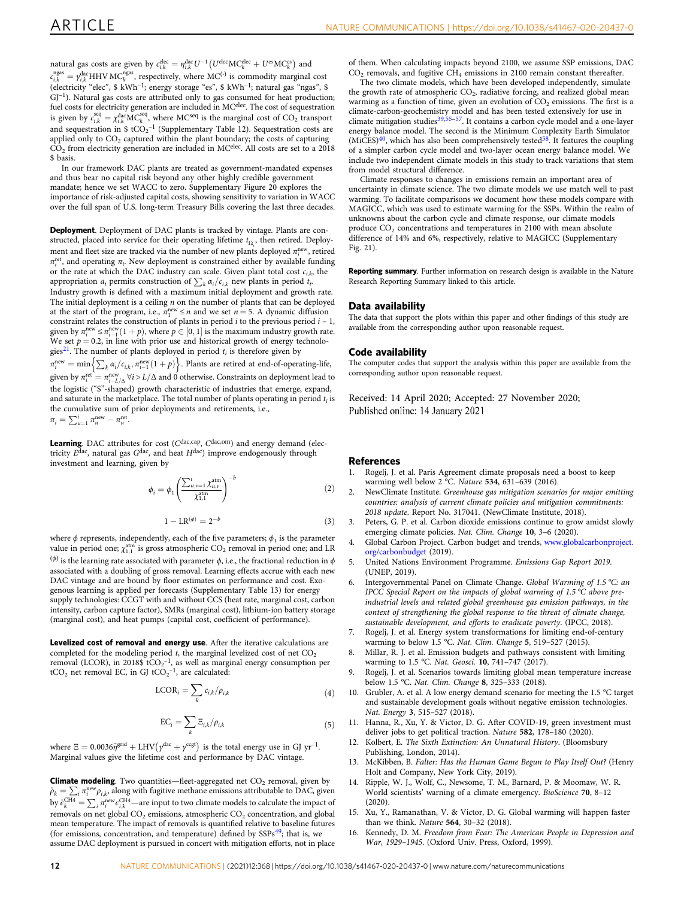<span id="page-11-0"></span>natural gas costs are given by  $c_{i,k}^{\text{elec}} = \eta_{i,k}^{\text{dac}} U^{-1} (U^{\text{elec}} M C_k^{\text{elec}} + U^{\text{es}} M C_k^{\text{es}})$  and<br>ngas decretive MC<sup>0833</sup> next attended a band MC<sup>()</sup> is assumed its magnitude  $c_{i,k}^{\text{ngas}} = \gamma_{i,k}^{\text{dec}} H H V M C_k^{\text{ngas}}$ , respectively, where  $MC^{(\cdot)}$  is commodity marginal cost  $\epsilon$  (abortricity "alge"  $*$  kWh-1, natural gas "ngas"  $*$ (electricity "elec",  $\frac{1}{2}$  kWh<sup>-1</sup>; energy storage "es",  $\frac{1}{2}$  kWh<sup>-1</sup>; natural gas "ngas",  $\frac{1}{2}$ GJ<sup>-1</sup>). Natural gas costs are attributed only to gas consumed for heat production; fuel costs for electricity generation are included in MC<sup>elec</sup>. The cost of sequestration is given by  $c_{i,k}^{\text{seq}} = \chi_{i,k}^{\text{dec}}MC_k^{\text{seq}}$ , where MC<sup>seq</sup> is the marginal cost of CO<sub>2</sub> transport<br>and sequestration in  $\hat{\mathbf{x}}$  tCO <sup>-1</sup> (Supplementary Table 12). Sequestration costs are and sequestration in  $$ tCO_2^{-1}$  (Supplementary Table 12). Sequestration costs are applied only to CO<sub>2</sub> captured within the plant boundary; the costs of capturing<br>CO<sub>2</sub> from electricity generation are included in MC<sup>elec</sup>. All costs are set to a 2018 \$ basis.

In our framework DAC plants are treated as government-mandated expenses and thus bear no capital risk beyond any other highly credible government mandate; hence we set WACC to zero. Supplementary Figure 20 explores the importance of risk-adjusted capital costs, showing sensitivity to variation in WACC over the full span of U.S. long-term Treasury Bills covering the last three decades.

Deployment. Deployment of DAC plants is tracked by vintage. Plants are constructed, placed into service for their operating lifetime  $t_{\Omega_i}$ , then retired. Deployment and fleet size are tracked via the number of new plants deployed  $\pi_i^{\text{new}}$ , retired  $\pi_i^{\text{ret}}$ , and operating  $\pi_i$ . New deployment is constrained either by available funding or the rate at which the DAC industry can scale. Given plant total cost  $c_{i,k}$ , the appropriation  $a_i$  permits construction of  $\sum_k \alpha_i/c_{i,k}$  new plants in period  $t_i$ . Industry growth is defined with a maximum initial deployment and growth rate. The initial deployment is a ceiling  $n$  on the number of plants that can be deployed at the start of the program, i.e.,  $\pi_1^{\text{new}} \le n$  and we set  $n = 5$ . A dynamic diffusion constraint relates the construction of plants in period  $i$  to the previous period  $i - 1$ , given by  $\pi_i^{\text{new}} \leq \pi_{i-1}^{\text{new}} (1+p)$ , where  $p \in [0,1]$  is the maximum industry growth rate.<br>We set  $p = 0.2$  in line with prior use and historical growth of energy technologiven by  $n_i = n_{i-1}(1+p_i)$ , where  $p \in [0, 1]$  is the maximum mutustry growth rate with  $p = 0.2$ , in line with prior use and historical growth of energy technologies<sup>21</sup>. The number of plants deployed in period  $t_i$  is therefore given by  $\pi_i^{\text{new}} = \min \left\{ \sum_k \alpha_i / c_{i,k}, \pi_{i-1}^{\text{new}}(1+p) \right\}$ . Plants are retired at end-of-operating-life, given by  $\pi_i^{\text{ret}} = \pi_{i-L/\Delta}^{\text{new}} \forall i > L/\Delta$  and 0 otherwise. Constraints on deployment lead to<br>the logistic ("C" shaped) growth shape staristic of industries that emerge sumped the logistic ("S"-shaped) growth characteristic of industries that emerge, expand, and saturate in the marketplace. The total number of plants operating in period  $t_i$  is the cumulative sum of prior deployments and retirements, i.e.,

 $\pi_i = \sum_{u=1}^i \pi_u^{\text{new}} - \pi_u^{\text{ret}}.$ 

Learning. DAC attributes for cost (Cdac,cap, Cdac,om) and energy demand (electricity Edac, natural gas Gdac, and heat Hdac) improve endogenously through investment and learning, given by

$$
\phi_i = \phi_1 \left( \frac{\sum_{u,v=1}^i \chi_{u,v}^{\text{atm}}}{\chi_{1,1}^{\text{atm}}} \right)^{-b} \tag{2}
$$

$$
1 - LR^{(\phi)} = 2^{-b} \tag{3}
$$

where  $\phi$  represents, independently, each of the five parameters;  $\phi_1$  is the parameter value in period one;  $\chi_{1,1}^{\rm atm}$  is gross atmospheric CO<sub>2</sub> removal in period one; and LR ( $φ$ ) is the learning rate associated with parameter  $φ$ , i.e., the fractional reduction in  $φ$ associated with a doubling of gross removal. Learning effects accrue with each new DAC vintage and are bound by floor estimates on performance and cost. Exogenous learning is applied per forecasts (Supplementary Table 13) for energy supply technologies: CCGT with and without CCS (heat rate, marginal cost, carbon intensity, carbon capture factor), SMRs (marginal cost), lithium-ion battery storage (marginal cost), and heat pumps (capital cost, coefficient of performance).

Levelized cost of removal and energy use. After the iterative calculations are completed for the modeling period  $t$ , the marginal levelized cost of net  $CO<sub>2</sub>$ removal (LCOR), in 2018\$ tCO<sub>2</sub><sup>-1</sup>, as well as marginal energy consumption per  $tCO<sub>2</sub>$  net removal EC, in GJ  $tCO<sub>2</sub><sup>-1</sup>$ , are calculated:

$$
LCOR_i = \sum_k c_{i,k} / \rho_{i,k} \tag{4}
$$

$$
EC_i = \sum_k \Xi_{i,k} / \rho_{i,k} \tag{5}
$$

where  $\Xi = 0.0036\tilde{\eta}^{grid} + LHV(\gamma^{dac} + \gamma^{ccgt})$  is the total energy use in GJ yr<sup>-1</sup>. Marginal values give the lifetime cost and performance by DAC vintage.

**Climate modeling**. Two quantities—fleet-aggregated net  $CO<sub>2</sub>$  removal, given by  $\hat{\rho}_k = \sum_i \pi_i^{\text{new}} \rho_{i,k}$ , along with fugitive methane emissions attributable to DAC, given by  $\hat{e}_k^{\text{CH4}} = \sum_i \pi_i^{\text{new}} e_{i,k}^{\text{CH4}}$ —are input to two climate models to calculate the impact of removals on net global  $CO<sub>2</sub>$  emissions, atmospheric  $CO<sub>2</sub>$  concentration, and global mean temperature. The impact of removals is quantified relative to baseline futures (for emissions, concentration, and temperature) defined by  $SSPs<sup>49</sup>$  $SSPs<sup>49</sup>$  $SSPs<sup>49</sup>$ ; that is, we assume DAC deployment is pursued in concert with mitigation efforts, not in place

of them. When calculating impacts beyond 2100, we assume SSP emissions, DAC  $CO<sub>2</sub>$  removals, and fugitive  $CH<sub>4</sub>$  emissions in 2100 remain constant thereafter.

The two climate models, which have been developed independently, simulate the growth rate of atmospheric CO<sub>2</sub>, radiative forcing, and realized global mean warming as a function of time, given an evolution of  $CO<sub>2</sub>$  emissions. The first is a climate-carbon-geochemistry model and has been tested extensively for use in climate enfort geocherences<sup>[39,55](#page-12-0)–[57](#page-12-0)</sup>. It contains a carbon cycle model and a one-layer energy balance model. The second is the Minimum Complexity Earth Simulator (MiCES)<sup>40</sup>, which has also been comprehensively tested<sup>58</sup>. It features the coupling of a simpler carbon cycle model and two-layer ocean energy balance model. We include two independent climate models in this study to track variations that stem from model structural difference.

Climate responses to changes in emissions remain an important area of uncertainty in climate science. The two climate models we use match well to past warming. To facilitate comparisons we document how these models compare with MAGICC, which was used to estimate warming for the SSPs. Within the realm of unknowns about the carbon cycle and climate response, our climate models produce  $CO<sub>2</sub>$  concentrations and temperatures in 2100 with mean absolute difference of 14% and 6%, respectively, relative to MAGICC (Supplementary Fig. 21).

Reporting summary. Further information on research design is available in the Nature Research Reporting Summary linked to this article.

#### Data availability

The data that support the plots within this paper and other findings of this study are available from the corresponding author upon reasonable request.

#### Code availability

The computer codes that support the analysis within this paper are available from the corresponding author upon reasonable request.

Received: 14 April 2020; Accepted: 27 November 2020; Published online: 14 January 2021

#### **References**

- Rogelj, J. et al. Paris Agreement climate proposals need a boost to keep warming well below 2 °C. Nature 534, 631–639 (2016).
- 2. NewClimate Institute. Greenhouse gas mitigation scenarios for major emitting countries: analysis of current climate policies and mitigation commitments: 2018 update. Report No. 317041. (NewClimate Institute, 2018).
- 3. Peters, G. P. et al. Carbon dioxide emissions continue to grow amidst slowly emerging climate policies. Nat. Clim. Change 10, 3-6 (2020).
- 4. Global Carbon Project. Carbon budget and trends, [www.globalcarbonproject.](http://www.globalcarbonproject.org/carbonbudget) [org/carbonbudget](http://www.globalcarbonproject.org/carbonbudget) (2019).
- 5. United Nations Environment Programme. Emissions Gap Report 2019. (UNEP, 2019).
- 6. Intergovernmental Panel on Climate Change. Global Warming of 1.5 °C: an IPCC Special Report on the impacts of global warming of 1.5 °C above preindustrial levels and related global greenhouse gas emission pathways, in the context of strengthening the global response to the threat of climate change, sustainable development, and efforts to eradicate poverty. (IPCC, 2018).
- 7. Rogelj, J. et al. Energy system transformations for limiting end-of-century warming to below 1.5 °C. Nat. Clim. Change 5, 519–527 (2015).
- 8. Millar, R. J. et al. Emission budgets and pathways consistent with limiting warming to 1.5 °C. Nat. Geosci. 10, 741–747 (2017).
- 9. Rogelj, J. et al. Scenarios towards limiting global mean temperature increase below 1.5 °C. Nat. Clim. Change 8, 325–333 (2018).
- 10. Grubler, A. et al. A low energy demand scenario for meeting the 1.5 °C target and sustainable development goals without negative emission technologies. Nat. Energy 3, 515–527 (2018).
- 11. Hanna, R., Xu, Y. & Victor, D. G. After COVID-19, green investment must deliver jobs to get political traction. Nature 582, 178–180 (2020).
- 12. Kolbert, E. The Sixth Extinction: An Unnatural History. (Bloomsbury Publishing, London, 2014).
- 13. McKibben, B. Falter: Has the Human Game Begun to Play Itself Out? (Henry Holt and Company, New York City, 2019).
- 14. Ripple, W. J., Wolf, C., Newsome, T. M., Barnard, P. & Moomaw, W. R. World scientists' warning of a climate emergency. BioScience 70, 8–12 (2020).
- 15. Xu, Y., Ramanathan, V. & Victor, D. G. Global warming will happen faster than we think. Nature 564, 30–32 (2018).
- 16. Kennedy, D. M. Freedom from Fear: The American People in Depression and War, 1929–1945. (Oxford Univ. Press, Oxford, 1999).